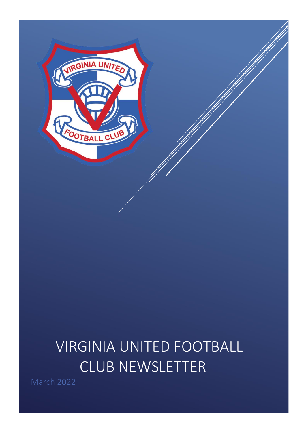

# VIRGINIA UNITED FOOTBALL CLUB NEWSLETTER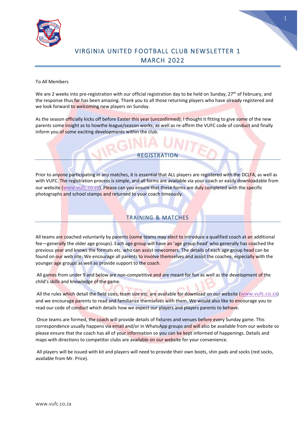



# VIRGINIA UNITED FOOTBALL CLUB NEW SLETTER 1 MARCH 2022

#### To All Members

We are 2 weeks into pre-registration with our official registration day to be held on Sunday,  $27^{th}$  of February, and the response thus far has been amazing. Thank you to all those returning players who have already registered and we look forward to welcoming new players on Sunday.

As the season officially kicks off before Easter this year (unconfirmed), I thought it fitting to give some of the new parents some insight as to howthe league/season works, as well as re-affirm the VUFC code of conduct and finally inform you of some exciting developments within the club.

## REGISTRATION

Prior to anyone participating in any matches, it is essential that ALL players are registered with the DCLFA, as well as with VUFC. The registration process is simple, and all forms are available via your coach or easily downloadable from our website (www.vufc.co.za). Please can you ensure that these forms are duly completed with the specific photographs and school stamps and returned to your coach timeously.

# TRAINING & MATCHES

All teams are coached voluntarily by parents (some teams may elect to introduce a qualified coach at an additional fee—generally the older age groups). Each age group will have an 'age group head' who generally has coached the previous year and knows the formats etc. who can assist newcomers. The details of each age group head can be found on our web site. We encourage all parents to involve themselves and assist the coaches, especially with the younger age groups as well as provide support to the coach.

All games from under 9 and below are non-competitive and are meant for fun as well as the development of the child's skills and knowledge of the game.

All the rules which detail the field sizes, team size etc. are available for download on our website (www.vufc.co.za) and we encourage parents to read and familiarize themselves with them. We would also like to encourage you to read our code of conduct which details how we expect our players and players parents to behave.

Once teams are formed, the coach will provide details of fixtures and venues before every Sunday game. This correspondence usually happens via email and/or in WhatsApp groups and will also be available from our website so please ensure that the coach has all of your information so you can be kept informed of happenings. Details and maps with directions to competitor clubs are available on our website for your convenience.

All players will be issued with kit and players will need to provide their own boots, shin pads and socks (red socks, available from Mr. Price).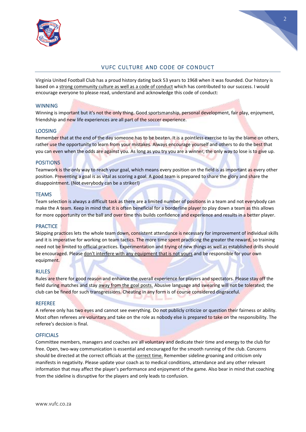



# VUFC CULTURE AND CODE OF CONDUCT

Virginia United Football Club has a proud history dating back 53 years to 1968 when it was founded. Our history is based on a strong community culture as well as a code of conduct which has contributed to our success. I would encourage everyone to please read, understand and acknowledge this code of conduct:

#### **WINNING**

Winning is important but it's not the only thing. Good sportsmanship, personal development, fair play, enjoyment, friendship and new life experiences are all part of the soccer experience.

#### LOOSING

Remember that at the end of the day someone has to be beaten. It is a pointless exercise to lay the blame on others, rather use the opportunity to learn from your mistakes. Always encourage yourself and others to do the best that you can even when the odds are against you. As long as you try you are a winner, the only way to lose is to give up.

#### POSITIONS

Teamwork is the only way to reach your goal, which means every position on the field is as important as every other position. Preventing a goal is as vital as scoring a goal. A good team is prepared to share the glory and share the disappointment. (Not everybody can be a striker!)

#### **TEAMS**

Team selection is always a difficult task as there are a limited number of positions in a team and not everybody can make the A team. Keep in mind that it is often beneficial for a borderline player to play down a team as this allows for more opportunity on the ball and over time this builds confidence and experience and results in a better player.

#### **PRACTICE**

Skipping practices lets the whole team down, consistent attendance is necessary for improvement of individual skills and it is imperative for working on team tactics. The more time spent practicing the greater the reward, so training need not be limited to official practices. Experimentation and trying of new things as well as established drills should be encouraged. Please don't interfere with any equipment that is not yours and be responsible for your own equipment.

#### RULES

Rules are there for good reason and enhance the overall experience for players and spectators. Please stay off the field during matches and stay away from the goal posts. Abusive language and swearing will not be tolerated; the club can be fined for such transgressions. Cheating in any form is of course considered disgraceful.

#### REFEREE

A referee only has two eyes and cannot see everything. Do not publicly criticize or question their fairness or ability. Most often referees are voluntary and take on the role as nobody else is prepared to take on the responsibility. The referee's decision is final.

#### **OFFICIALS**

Committee members, managers and coaches are all voluntary and dedicate their time and energy to the club for free. Open, two-way communication is essential and encouraged for the smooth running of the club. Concerns should be directed at the correct officials at the correct time. Remember sideline groaning and criticism only manifests in negativity. Please update your coach as to medical conditions, attendance and any other relevant information that may affect the player's performance and enjoyment of the game. Also bear in mind that coaching from the sideline is disruptive for the players and only leads to confusion.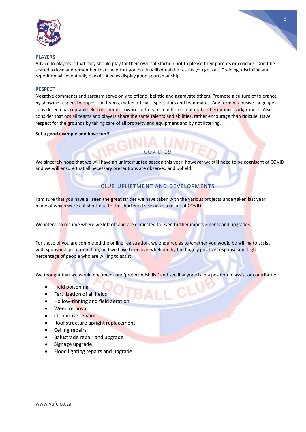



#### PLAYERS

Advice to players is that they should play for their own satisfaction not to please their parents or coaches. Don't be scared to lose and remember that the effort you put in will equal the results you get out. Training, discipline and repetition will eventually pay off. Always display good sportsmanship.

#### **RESPECT**

Negative comments and sarcasm serve only to offend, belittle and aggravate others. Promote a culture of tolerance by showing respect to opposition teams, match officials, spectators and teammates. Any form of abusive language is considered unacceptable. Be considerate towards others from different cultural and economic backgrounds. Also consider that not all teams and players share the same talents and abilities, rather encourage than ridicule. Have respect for the grounds by taking care of all property and equipment and by not littering.

#### **Set a good example and have fun!!**

We sincerely hope that we will have an uninterrupted season this year, however we still need to be cognisent of COVID and we will ensure that all necessary precautions are observed and upheld.

 $COMID-19$ 

## CLUB UPLIFTMENT AND DEVELOPMENTS

I am sure that you have all seen the great strides we have taken with the various projects undertaken last vear, many of which were cut short due to the shortened season as a result of COVID.

We intend to resume where we left off and are dedicated to even further improvements and upgrades.

For those of you are completed the online registration, we enquired as to whether you would be willing to assist with sponsorships or donation, and we have been overwhelmed by the hugely positive response and high percentage of people who are willing to assist.

We thought that we would document our 'project wish list' and see if anyone is in a position to assist or contribute:

- **Field poisoning**
- Fertilization of all fields
- Hollow-tinning and field aeration
- Weed removal
- Clubhouse repaint
- Roof structure upright replacement
- Ceiling repairs
- Balustrade repair and upgrade
- Signage upgrade
- Flood lighting repairs and upgrade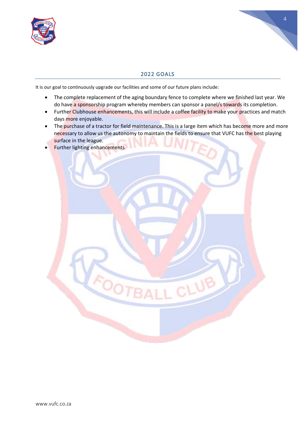



#### 2022 GOALS

It is our goal to continuously upgrade our facilities and some of our future plans include:

- The complete replacement of the aging boundary fence to complete where we finished last year. We do have a sponsorship program whereby members can sponsor a panel/s towards its completion.
- Further Clubhouse enhancements, this will include a coffee facility to make your practices and match days more enjoyable.
- The purchase of a tractor for field maintenance. This is a large item which has become more and more necessary to allow us the autonomy to maintain the fields to ensure that VUFC has the best playing surface in the league.
- Further lighting enhancements

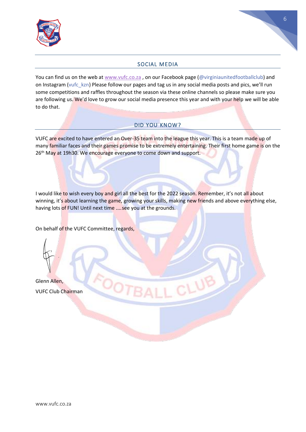

# 56

# SOCIAL MEDIA

You can find us on the web at [www.vufc.co.za](http://www.vufc.co.za/), on our Facebook page (@virginiaunitedfootballclub) and on Instagram (vufc\_kzn) Please follow our pages and tag us in any social media posts and pics, we'll run some competitions and raffles throughout the season via these online channels so please make sure you are following us. We'd love to grow our social media presence this year and with your help we will be able to do that.

# DID YOU KNOW?

VUFC are excited to have entered an Over-35 team into the league this year. This is a team made up of many familiar faces and their games promise to be extremely entertaining. Their first home game is on the 26<sup>th</sup> May at 19h30. We encourage everyone to come down and support.

I would like to wish every boy and girl all the best for the 2022 season. Remember, it's not all about winning, it's about learning the game, growing your skills, making new friends and above everything else, having lots of FUN! Until next time ....see you at the grounds.

On behalf of the VUFC Committee, regards,

Glenn Allen, VUFC Club Chairman